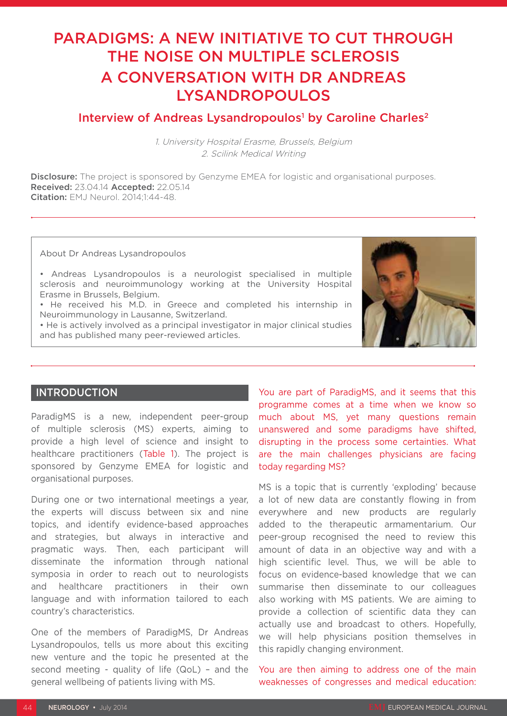# PARADIGMS: A NEW INITIATIVE TO CUT THROUGH THE NOISE ON MULTIPLE SCLEROSIS A CONVERSATION WITH DR ANDREAS LYSANDROPOULOS

## Interview of Andreas Lysandropoulos<sup>1</sup> by Caroline Charles<sup>2</sup>

1. University Hospital Erasme, Brussels, Belgium 2. Scilink Medical Writing

**Disclosure:** The project is sponsored by Genzyme EMEA for logistic and organisational purposes. Received: 23.04.14 Accepted: 22.05.14 Citation: EMJ Neurol. 2014;1:44-48.

About Dr Andreas Lysandropoulos

• Andreas Lysandropoulos is a neurologist specialised in multiple sclerosis and neuroimmunology working at the University Hospital Erasme in Brussels, Belgium.

• He received his M.D. in Greece and completed his internship in Neuroimmunology in Lausanne, Switzerland.

• He is actively involved as a principal investigator in major clinical studies and has published many peer-reviewed articles.



## **INTRODUCTION**

ParadigMS is a new, independent peer-group of multiple sclerosis (MS) experts, aiming to provide a high level of science and insight to healthcare practitioners (Table 1). The project is sponsored by Genzyme EMEA for logistic and organisational purposes.

During one or two international meetings a year, the experts will discuss between six and nine topics, and identify evidence-based approaches and strategies, but always in interactive and pragmatic ways. Then, each participant will disseminate the information through national symposia in order to reach out to neurologists and healthcare practitioners in their own language and with information tailored to each country's characteristics.

One of the members of ParadigMS, Dr Andreas Lysandropoulos, tells us more about this exciting new venture and the topic he presented at the second meeting - quality of life (QoL) – and the general wellbeing of patients living with MS.

You are part of ParadigMS, and it seems that this programme comes at a time when we know so much about MS, yet many questions remain unanswered and some paradigms have shifted, disrupting in the process some certainties. What are the main challenges physicians are facing today regarding MS?

MS is a topic that is currently 'exploding' because a lot of new data are constantly flowing in from everywhere and new products are regularly added to the therapeutic armamentarium. Our peer-group recognised the need to review this amount of data in an objective way and with a high scientific level. Thus, we will be able to focus on evidence-based knowledge that we can summarise then disseminate to our colleagues also working with MS patients. We are aiming to provide a collection of scientific data they can actually use and broadcast to others. Hopefully, we will help physicians position themselves in this rapidly changing environment.

You are then aiming to address one of the main weaknesses of congresses and medical education: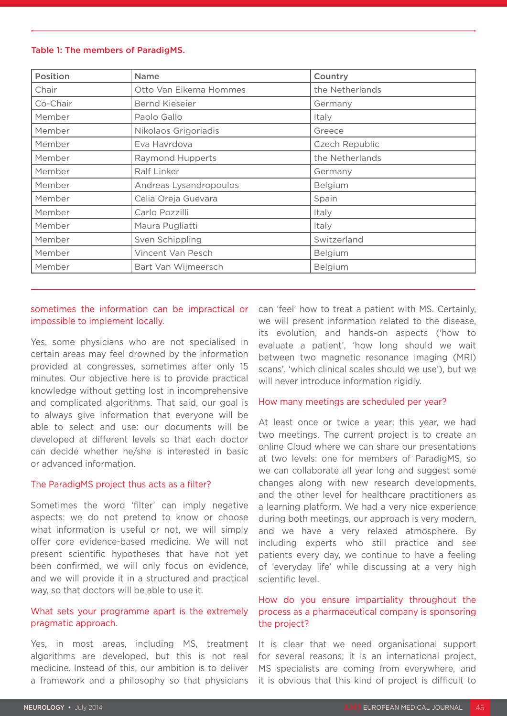#### Table 1: The members of ParadigMS.

| Position | Name                   | Country         |
|----------|------------------------|-----------------|
| Chair    | Otto Van Eikema Hommes | the Netherlands |
| Co-Chair | <b>Bernd Kieseier</b>  | Germany         |
| Member   | Paolo Gallo            | Italy           |
| Member   | Nikolaos Grigoriadis   | Greece          |
| Member   | Eva Havrdova           | Czech Republic  |
| Member   | Raymond Hupperts       | the Netherlands |
| Member   | Ralf Linker            | Germany         |
| Member   | Andreas Lysandropoulos | Belgium         |
| Member   | Celia Oreja Guevara    | Spain           |
| Member   | Carlo Pozzilli         | Italy           |
| Member   | Maura Pugliatti        | Italy           |
| Member   | Sven Schippling        | Switzerland     |
| Member   | Vincent Van Pesch      | Belgium         |
| Member   | Bart Van Wijmeersch    | Belgium         |

## sometimes the information can be impractical or impossible to implement locally.

Yes, some physicians who are not specialised in certain areas may feel drowned by the information provided at congresses, sometimes after only 15 minutes. Our objective here is to provide practical knowledge without getting lost in incomprehensive and complicated algorithms. That said, our goal is to always give information that everyone will be able to select and use: our documents will be developed at different levels so that each doctor can decide whether he/she is interested in basic or advanced information.

#### The ParadigMS project thus acts as a filter?

Sometimes the word 'filter' can imply negative aspects: we do not pretend to know or choose what information is useful or not, we will simply offer core evidence-based medicine. We will not present scientific hypotheses that have not yet been confirmed, we will only focus on evidence, and we will provide it in a structured and practical way, so that doctors will be able to use it.

## What sets your programme apart is the extremely pragmatic approach.

Yes, in most areas, including MS, treatment algorithms are developed, but this is not real medicine. Instead of this, our ambition is to deliver a framework and a philosophy so that physicians can 'feel' how to treat a patient with MS. Certainly, we will present information related to the disease, its evolution, and hands-on aspects ('how to evaluate a patient', 'how long should we wait between two magnetic resonance imaging (MRI) scans', 'which clinical scales should we use'), but we will never introduce information rigidly.

#### How many meetings are scheduled per year?

At least once or twice a year; this year, we had two meetings. The current project is to create an online Cloud where we can share our presentations at two levels: one for members of ParadigMS, so we can collaborate all year long and suggest some changes along with new research developments, and the other level for healthcare practitioners as a learning platform. We had a very nice experience during both meetings, our approach is very modern, and we have a very relaxed atmosphere. By including experts who still practice and see patients every day, we continue to have a feeling of 'everyday life' while discussing at a very high scientific level.

## How do you ensure impartiality throughout the process as a pharmaceutical company is sponsoring the project?

It is clear that we need organisational support for several reasons; it is an international project, MS specialists are coming from everywhere, and it is obvious that this kind of project is difficult to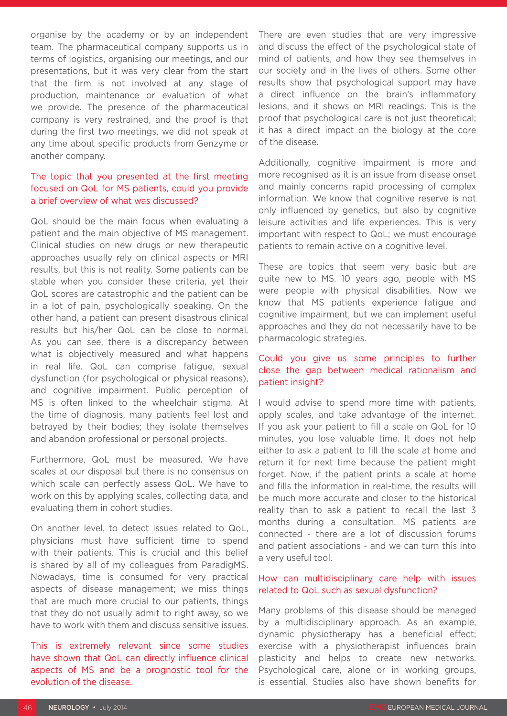organise by the academy or by an independent team. The pharmaceutical company supports us in terms of logistics, organising our meetings, and our presentations, but it was very clear from the start that the firm is not involved at any stage of production, maintenance or evaluation of what we provide. The presence of the pharmaceutical company is very restrained, and the proof is that during the first two meetings, we did not speak at any time about specific products from Genzyme or another company.

## The topic that you presented at the first meeting focused on QoL for MS patients, could you provide a brief overview of what was discussed?

QoL should be the main focus when evaluating a patient and the main objective of MS management. Clinical studies on new drugs or new therapeutic approaches usually rely on clinical aspects or MRI results, but this is not reality. Some patients can be stable when you consider these criteria, yet their QoL scores are catastrophic and the patient can be in a lot of pain, psychologically speaking. On the other hand, a patient can present disastrous clinical results but his/her QoL can be close to normal. As you can see, there is a discrepancy between what is objectively measured and what happens in real life. QoL can comprise fatigue, sexual dysfunction (for psychological or physical reasons), and cognitive impairment. Public perception of MS is often linked to the wheelchair stigma. At the time of diagnosis, many patients feel lost and betrayed by their bodies; they isolate themselves and abandon professional or personal projects.

Furthermore, QoL must be measured. We have scales at our disposal but there is no consensus on which scale can perfectly assess QoL. We have to work on this by applying scales, collecting data, and evaluating them in cohort studies.

On another level, to detect issues related to QoL, physicians must have sufficient time to spend with their patients. This is crucial and this belief is shared by all of my colleagues from ParadigMS. Nowadays, time is consumed for very practical aspects of disease management; we miss things that are much more crucial to our patients, things that they do not usually admit to right away, so we have to work with them and discuss sensitive issues.

This is extremely relevant since some studies have shown that QoL can directly influence clinical aspects of MS and be a prognostic tool for the evolution of the disease.

There are even studies that are very impressive and discuss the effect of the psychological state of mind of patients, and how they see themselves in our society and in the lives of others. Some other results show that psychological support may have a direct influence on the brain's inflammatory lesions, and it shows on MRI readings. This is the proof that psychological care is not just theoretical; it has a direct impact on the biology at the core of the disease.

Additionally, cognitive impairment is more and more recognised as it is an issue from disease onset and mainly concerns rapid processing of complex information. We know that cognitive reserve is not only influenced by genetics, but also by cognitive leisure activities and life experiences. This is very important with respect to QoL; we must encourage patients to remain active on a cognitive level.

These are topics that seem very basic but are quite new to MS. 10 years ago, people with MS were people with physical disabilities. Now we know that MS patients experience fatigue and cognitive impairment, but we can implement useful approaches and they do not necessarily have to be pharmacologic strategies.

## Could you give us some principles to further close the gap between medical rationalism and patient insight?

I would advise to spend more time with patients, apply scales, and take advantage of the internet. If you ask your patient to fill a scale on QoL for 10 minutes, you lose valuable time. It does not help either to ask a patient to fill the scale at home and return it for next time because the patient might forget. Now, if the patient prints a scale at home and fills the information in real-time, the results will be much more accurate and closer to the historical reality than to ask a patient to recall the last 3 months during a consultation. MS patients are connected - there are a lot of discussion forums and patient associations - and we can turn this into a very useful tool.

## How can multidisciplinary care help with issues related to QoL such as sexual dysfunction?

Many problems of this disease should be managed by a multidisciplinary approach. As an example, dynamic physiotherapy has a beneficial effect; exercise with a physiotherapist influences brain plasticity and helps to create new networks. Psychological care, alone or in working groups, is essential. Studies also have shown benefits for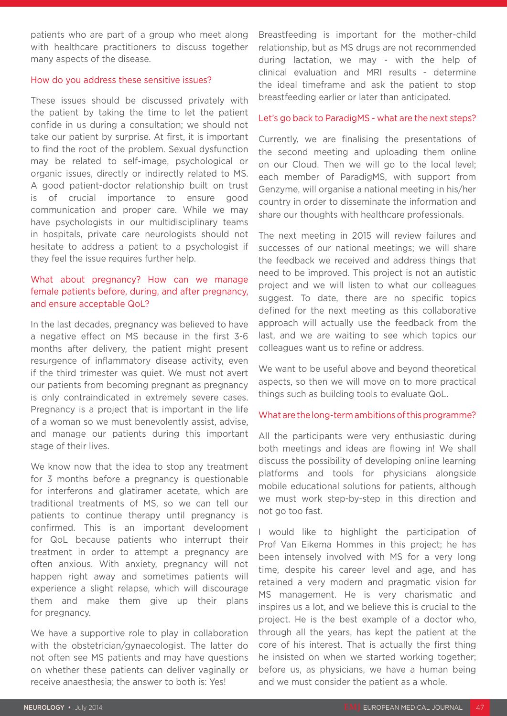patients who are part of a group who meet along with healthcare practitioners to discuss together many aspects of the disease.

#### How do you address these sensitive issues?

These issues should be discussed privately with the patient by taking the time to let the patient confide in us during a consultation; we should not take our patient by surprise. At first, it is important to find the root of the problem. Sexual dysfunction may be related to self-image, psychological or organic issues, directly or indirectly related to MS. A good patient-doctor relationship built on trust is of crucial importance to ensure good communication and proper care. While we may have psychologists in our multidisciplinary teams in hospitals, private care neurologists should not hesitate to address a patient to a psychologist if they feel the issue requires further help.

## What about pregnancy? How can we manage female patients before, during, and after pregnancy, and ensure acceptable QoL?

In the last decades, pregnancy was believed to have a negative effect on MS because in the first 3-6 months after delivery, the patient might present resurgence of inflammatory disease activity, even if the third trimester was quiet. We must not avert our patients from becoming pregnant as pregnancy is only contraindicated in extremely severe cases. Pregnancy is a project that is important in the life of a woman so we must benevolently assist, advise, and manage our patients during this important stage of their lives.

We know now that the idea to stop any treatment for 3 months before a pregnancy is questionable for interferons and glatiramer acetate, which are traditional treatments of MS, so we can tell our patients to continue therapy until pregnancy is confirmed. This is an important development for QoL because patients who interrupt their treatment in order to attempt a pregnancy are often anxious. With anxiety, pregnancy will not happen right away and sometimes patients will experience a slight relapse, which will discourage them and make them give up their plans for pregnancy.

We have a supportive role to play in collaboration with the obstetrician/gynaecologist. The latter do not often see MS patients and may have questions on whether these patients can deliver vaginally or receive anaesthesia; the answer to both is: Yes!

Breastfeeding is important for the mother-child relationship, but as MS drugs are not recommended during lactation, we may - with the help of clinical evaluation and MRI results - determine the ideal timeframe and ask the patient to stop breastfeeding earlier or later than anticipated.

#### Let's go back to ParadigMS - what are the next steps?

Currently, we are finalising the presentations of the second meeting and uploading them online on our Cloud. Then we will go to the local level; each member of ParadigMS, with support from Genzyme, will organise a national meeting in his/her country in order to disseminate the information and share our thoughts with healthcare professionals.

The next meeting in 2015 will review failures and successes of our national meetings; we will share the feedback we received and address things that need to be improved. This project is not an autistic project and we will listen to what our colleagues suggest. To date, there are no specific topics defined for the next meeting as this collaborative approach will actually use the feedback from the last, and we are waiting to see which topics our colleagues want us to refine or address.

We want to be useful above and beyond theoretical aspects, so then we will move on to more practical things such as building tools to evaluate QoL.

#### What are the long-term ambitions of this programme?

All the participants were very enthusiastic during both meetings and ideas are flowing in! We shall discuss the possibility of developing online learning platforms and tools for physicians alongside mobile educational solutions for patients, although we must work step-by-step in this direction and not go too fast.

I would like to highlight the participation of Prof Van Eikema Hommes in this project; he has been intensely involved with MS for a very long time, despite his career level and age, and has retained a very modern and pragmatic vision for MS management. He is very charismatic and inspires us a lot, and we believe this is crucial to the project. He is the best example of a doctor who, through all the years, has kept the patient at the core of his interest. That is actually the first thing he insisted on when we started working together; before us, as physicians, we have a human being and we must consider the patient as a whole.